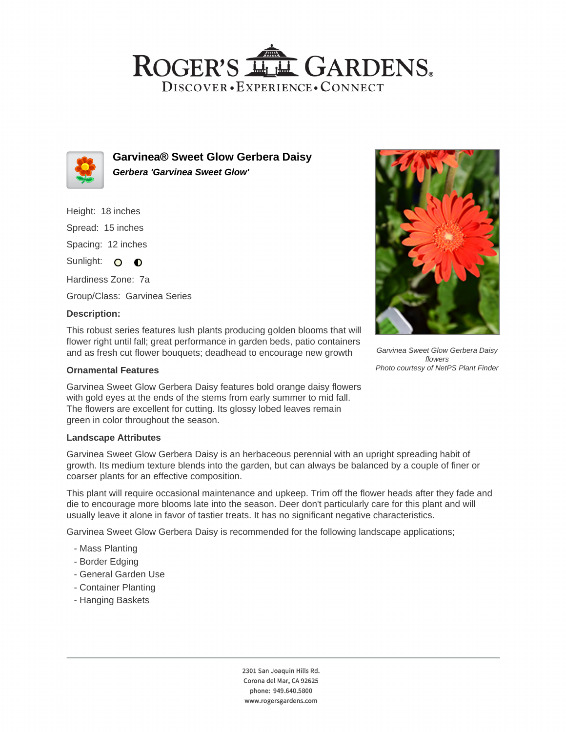## ROGER'S LLE GARDENS. DISCOVER · EXPERIENCE · CONNECT



**Garvinea® Sweet Glow Gerbera Daisy Gerbera 'Garvinea Sweet Glow'**

Height: 18 inches Spread: 15 inches Spacing: 12 inches Sunlight: O **O** 

Hardiness Zone: 7a Group/Class: Garvinea Series

### **Description:**

This robust series features lush plants producing golden blooms that will flower right until fall; great performance in garden beds, patio containers and as fresh cut flower bouquets; deadhead to encourage new growth

#### **Ornamental Features**

Garvinea Sweet Glow Gerbera Daisy features bold orange daisy flowers with gold eyes at the ends of the stems from early summer to mid fall. The flowers are excellent for cutting. Its glossy lobed leaves remain green in color throughout the season.

### **Landscape Attributes**

Garvinea Sweet Glow Gerbera Daisy is an herbaceous perennial with an upright spreading habit of growth. Its medium texture blends into the garden, but can always be balanced by a couple of finer or coarser plants for an effective composition.

This plant will require occasional maintenance and upkeep. Trim off the flower heads after they fade and die to encourage more blooms late into the season. Deer don't particularly care for this plant and will usually leave it alone in favor of tastier treats. It has no significant negative characteristics.

Garvinea Sweet Glow Gerbera Daisy is recommended for the following landscape applications;

- Mass Planting
- Border Edging
- General Garden Use
- Container Planting
- Hanging Baskets





Garvinea Sweet Glow Gerbera Daisy flowers Photo courtesy of NetPS Plant Finder